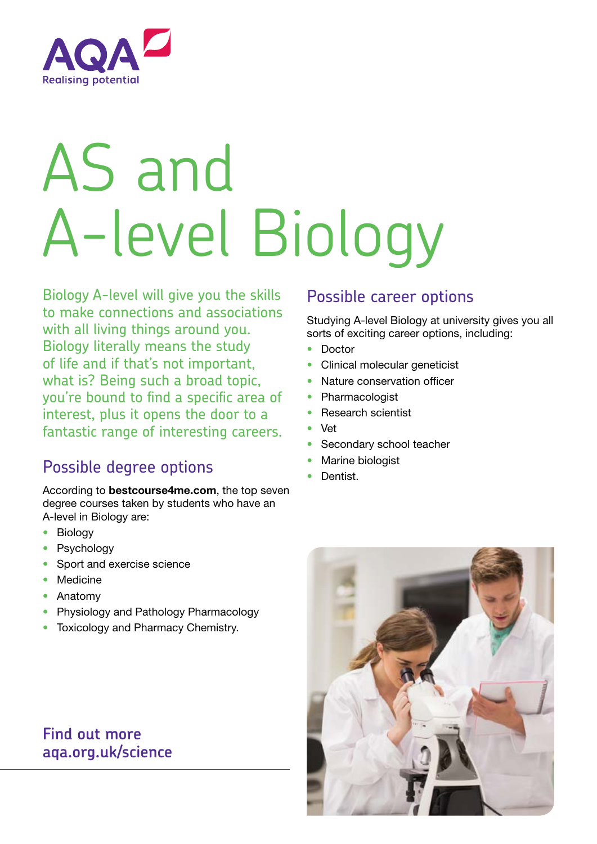

# AS and A-level Biology

Biology A-level will give you the skills to make connections and associations with all living things around you. Biology literally means the study of life and if that's not important, what is? Being such a broad topic, you're bound to find a specific area of interest, plus it opens the door to a fantastic range of interesting careers.

## Possible degree options

According to bestcourse4me.com, the top seven degree courses taken by students who have an A-level in Biology are:

- Biology
- **Psychology**
- Sport and exercise science
- Medicine
- Anatomy
- Physiology and Pathology Pharmacology
- Toxicology and Pharmacy Chemistry.

### **Find out more aqa.org.uk/science**

#### Possible career options

Studying A-level Biology at university gives you all sorts of exciting career options, including:

- Doctor
- Clinical molecular geneticist
- Nature conservation officer
- Pharmacologist
- Research scientist
- Vet
- Secondary school teacher
- Marine biologist
- Dentist.